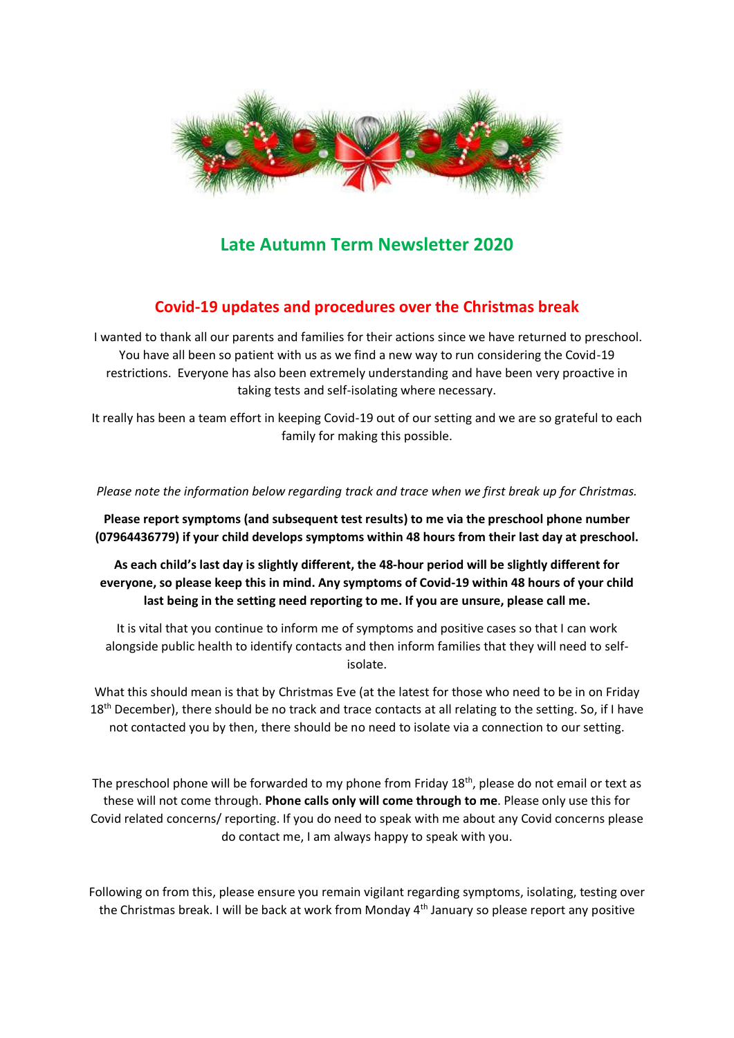

# **Late Autumn Term Newsletter 2020**

# **Covid-19 updates and procedures over the Christmas break**

I wanted to thank all our parents and families for their actions since we have returned to preschool. You have all been so patient with us as we find a new way to run considering the Covid-19 restrictions. Everyone has also been extremely understanding and have been very proactive in taking tests and self-isolating where necessary.

It really has been a team effort in keeping Covid-19 out of our setting and we are so grateful to each family for making this possible.

*Please note the information below regarding track and trace when we first break up for Christmas.*

**Please report symptoms (and subsequent test results) to me via the preschool phone number (07964436779) if your child develops symptoms within 48 hours from their last day at preschool.** 

**As each child's last day is slightly different, the 48-hour period will be slightly different for everyone, so please keep this in mind. Any symptoms of Covid-19 within 48 hours of your child last being in the setting need reporting to me. If you are unsure, please call me.** 

It is vital that you continue to inform me of symptoms and positive cases so that I can work alongside public health to identify contacts and then inform families that they will need to selfisolate.

What this should mean is that by Christmas Eve (at the latest for those who need to be in on Friday  $18<sup>th</sup>$  December), there should be no track and trace contacts at all relating to the setting. So, if I have not contacted you by then, there should be no need to isolate via a connection to our setting.

The preschool phone will be forwarded to my phone from Friday 18<sup>th</sup>, please do not email or text as these will not come through. **Phone calls only will come through to me**. Please only use this for Covid related concerns/ reporting. If you do need to speak with me about any Covid concerns please do contact me, I am always happy to speak with you.

Following on from this, please ensure you remain vigilant regarding symptoms, isolating, testing over the Christmas break. I will be back at work from Monday 4<sup>th</sup> January so please report any positive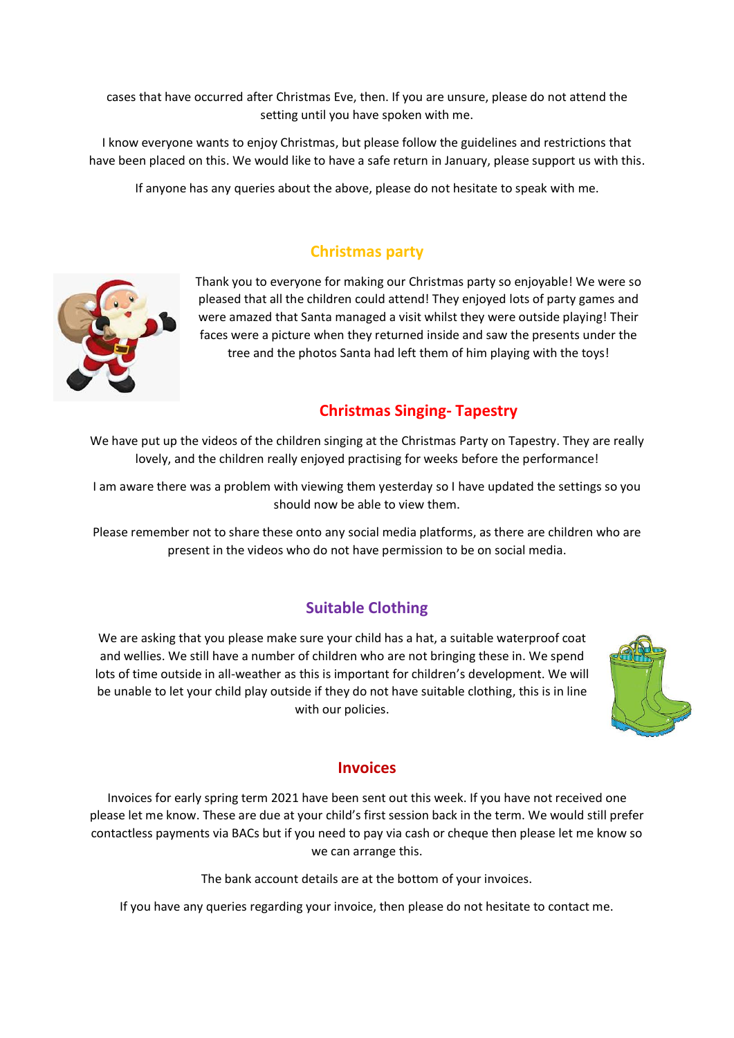cases that have occurred after Christmas Eve, then. If you are unsure, please do not attend the setting until you have spoken with me.

I know everyone wants to enjoy Christmas, but please follow the guidelines and restrictions that have been placed on this. We would like to have a safe return in January, please support us with this.

If anyone has any queries about the above, please do not hesitate to speak with me.

### **Christmas party**



Thank you to everyone for making our Christmas party so enjoyable! We were so pleased that all the children could attend! They enjoyed lots of party games and were amazed that Santa managed a visit whilst they were outside playing! Their faces were a picture when they returned inside and saw the presents under the tree and the photos Santa had left them of him playing with the toys!

### **Christmas Singing- Tapestry**

We have put up the videos of the children singing at the Christmas Party on Tapestry. They are really lovely, and the children really enjoyed practising for weeks before the performance!

I am aware there was a problem with viewing them yesterday so I have updated the settings so you should now be able to view them.

Please remember not to share these onto any social media platforms, as there are children who are present in the videos who do not have permission to be on social media.

### **Suitable Clothing**

We are asking that you please make sure your child has a hat, a suitable waterproof coat and wellies. We still have a number of children who are not bringing these in. We spend lots of time outside in all-weather as this is important for children's development. We will be unable to let your child play outside if they do not have suitable clothing, this is in line with our policies.



#### **Invoices**

Invoices for early spring term 2021 have been sent out this week. If you have not received one please let me know. These are due at your child's first session back in the term. We would still prefer contactless payments via BACs but if you need to pay via cash or cheque then please let me know so we can arrange this.

The bank account details are at the bottom of your invoices.

If you have any queries regarding your invoice, then please do not hesitate to contact me.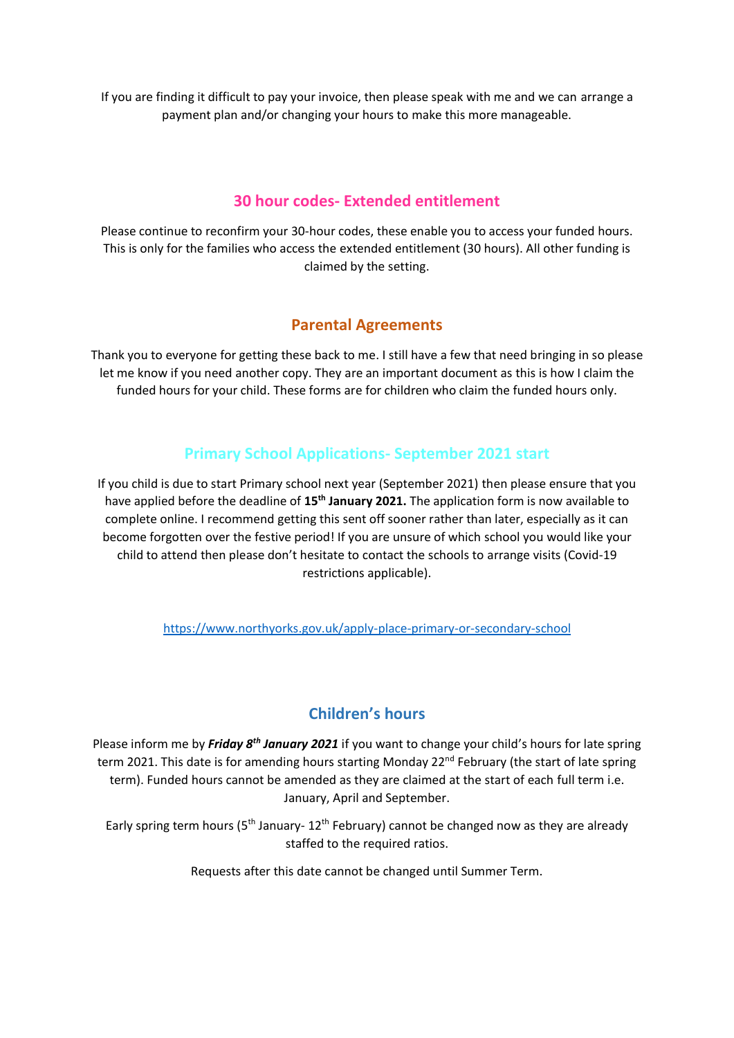If you are finding it difficult to pay your invoice, then please speak with me and we can arrange a payment plan and/or changing your hours to make this more manageable.

### **30 hour codes- Extended entitlement**

Please continue to reconfirm your 30-hour codes, these enable you to access your funded hours. This is only for the families who access the extended entitlement (30 hours). All other funding is claimed by the setting.

## **Parental Agreements**

Thank you to everyone for getting these back to me. I still have a few that need bringing in so please let me know if you need another copy. They are an important document as this is how I claim the funded hours for your child. These forms are for children who claim the funded hours only.

# **Primary School Applications- September 2021 start**

If you child is due to start Primary school next year (September 2021) then please ensure that you have applied before the deadline of **15th January 2021.** The application form is now available to complete online. I recommend getting this sent off sooner rather than later, especially as it can become forgotten over the festive period! If you are unsure of which school you would like your child to attend then please don't hesitate to contact the schools to arrange visits (Covid-19 restrictions applicable).

<https://www.northyorks.gov.uk/apply-place-primary-or-secondary-school>

# **Children's hours**

Please inform me by *Friday 8th January 2021* if you want to change your child's hours for late spring term 2021. This date is for amending hours starting Monday 22<sup>nd</sup> February (the start of late spring term). Funded hours cannot be amended as they are claimed at the start of each full term i.e. January, April and September.

Early spring term hours (5<sup>th</sup> January- 12<sup>th</sup> February) cannot be changed now as they are already staffed to the required ratios.

Requests after this date cannot be changed until Summer Term.